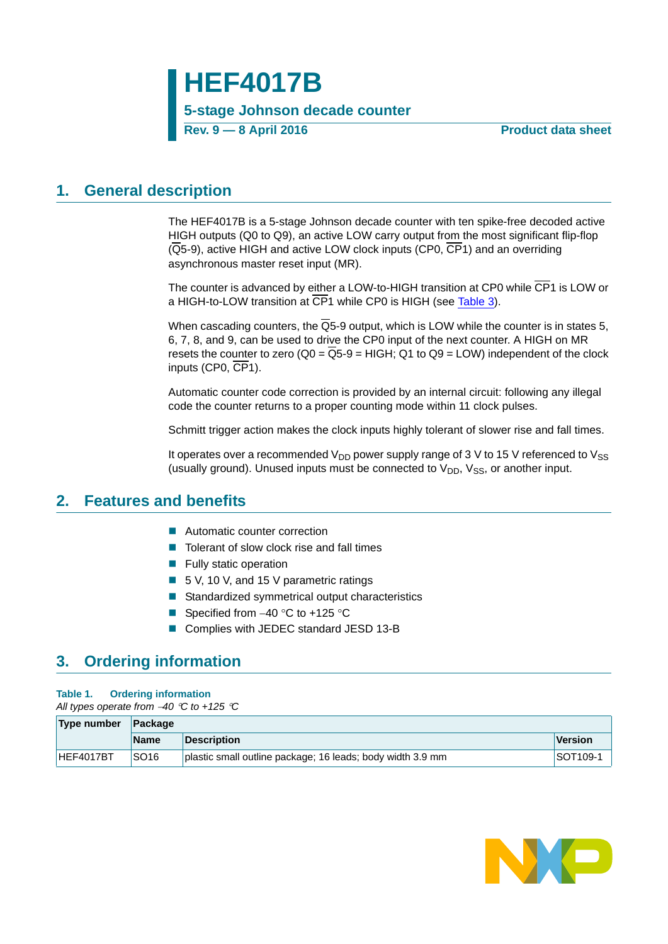**HEF4017B**

**5-stage Johnson decade counter**

**Rev. 9 — 8 April 2016 Product data sheet**

## <span id="page-0-0"></span>**1. General description**

The HEF4017B is a 5-stage Johnson decade counter with ten spike-free decoded active HIGH outputs (Q0 to Q9), an active LOW carry output from the most significant flip-flop (Q5-9), active HIGH and active LOW clock inputs (CP0, CP1) and an overriding asynchronous master reset input (MR).

The counter is advanced by either a LOW-to-HIGH transition at CP0 while CP1 is LOW or a HIGH-to-LOW transition at CP1 while CP0 is HIGH (see [Table 3\)](#page-3-0).

When cascading counters, the  $\overline{Q}5$ -9 output, which is LOW while the counter is in states 5. 6, 7, 8, and 9, can be used to drive the CP0 input of the next counter. A HIGH on MR resets the counter to zero  $(Q0 = Q5.9 = HIGH; Q1$  to  $Q9 = LOW$ ) independent of the clock inputs (CP0, CP1).

Automatic counter code correction is provided by an internal circuit: following any illegal code the counter returns to a proper counting mode within 11 clock pulses.

Schmitt trigger action makes the clock inputs highly tolerant of slower rise and fall times.

It operates over a recommended  $V_{DD}$  power supply range of 3 V to 15 V referenced to  $V_{SS}$ (usually ground). Unused inputs must be connected to  $V_{DD}$ ,  $V_{SS}$ , or another input.

## <span id="page-0-1"></span>**2. Features and benefits**

- Automatic counter correction
- $\blacksquare$  Tolerant of slow clock rise and fall times
- **Fully static operation**
- 5 V, 10 V, and 15 V parametric ratings
- Standardized symmetrical output characteristics
- Specified from  $-40$  °C to  $+125$  °C
- Complies with JEDEC standard JESD 13-B

## <span id="page-0-2"></span>**3. Ordering information**

### **Table 1. Ordering information**

*All types operate from 40 C to +125 C*

| Type number | <b>∣Package</b>  |                                                            |          |  |  |  |  |  |
|-------------|------------------|------------------------------------------------------------|----------|--|--|--|--|--|
|             | <b>Name</b>      | <b>Description</b>                                         | Version  |  |  |  |  |  |
| HEF4017BT   | SO <sub>16</sub> | plastic small outline package; 16 leads; body width 3.9 mm | SOT109-1 |  |  |  |  |  |

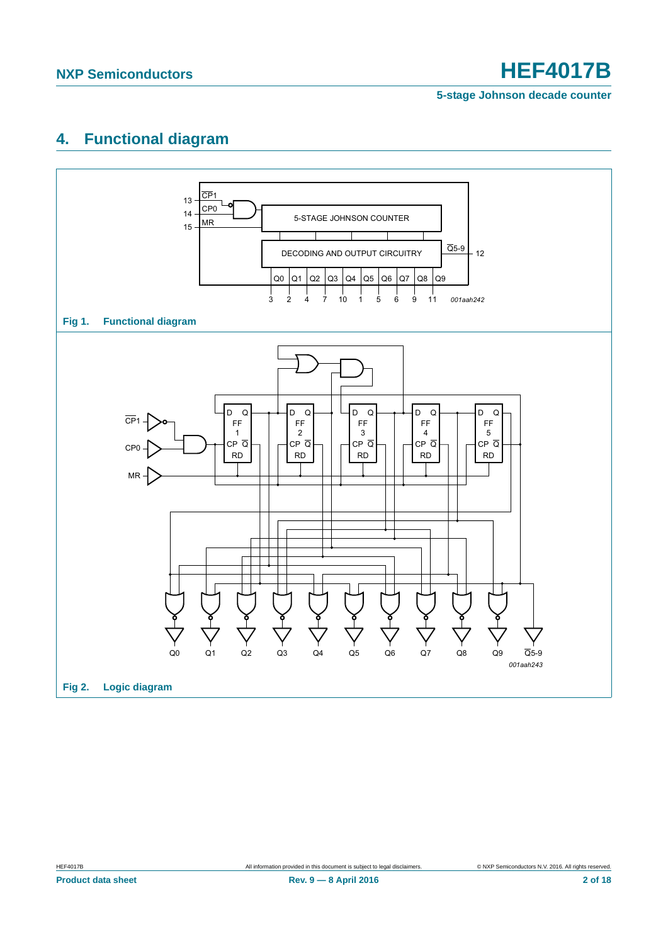**5-stage Johnson decade counter**

## <span id="page-1-0"></span>**4. Functional diagram**

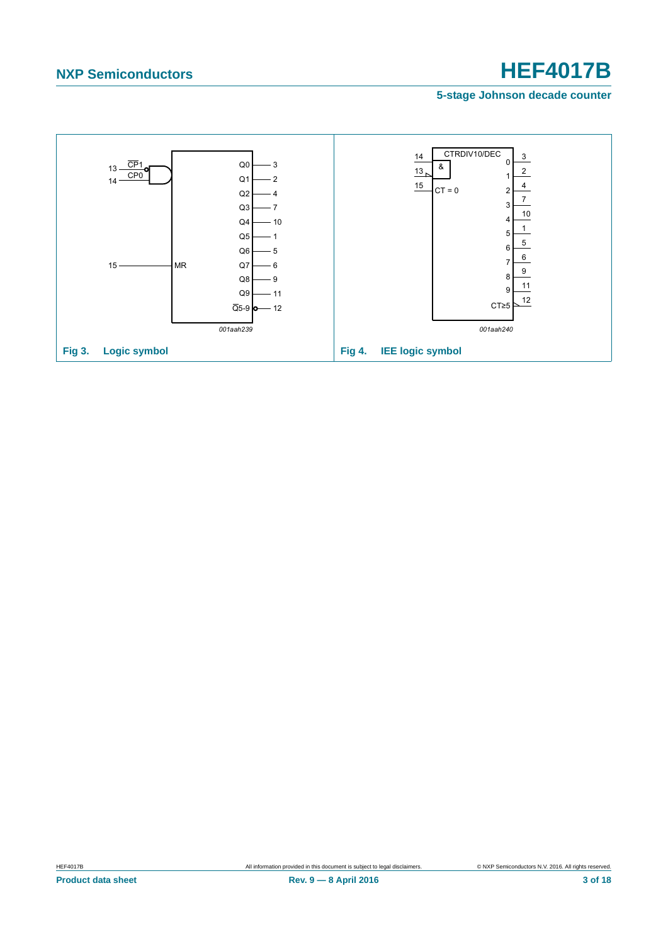### **5-stage Johnson decade counter**

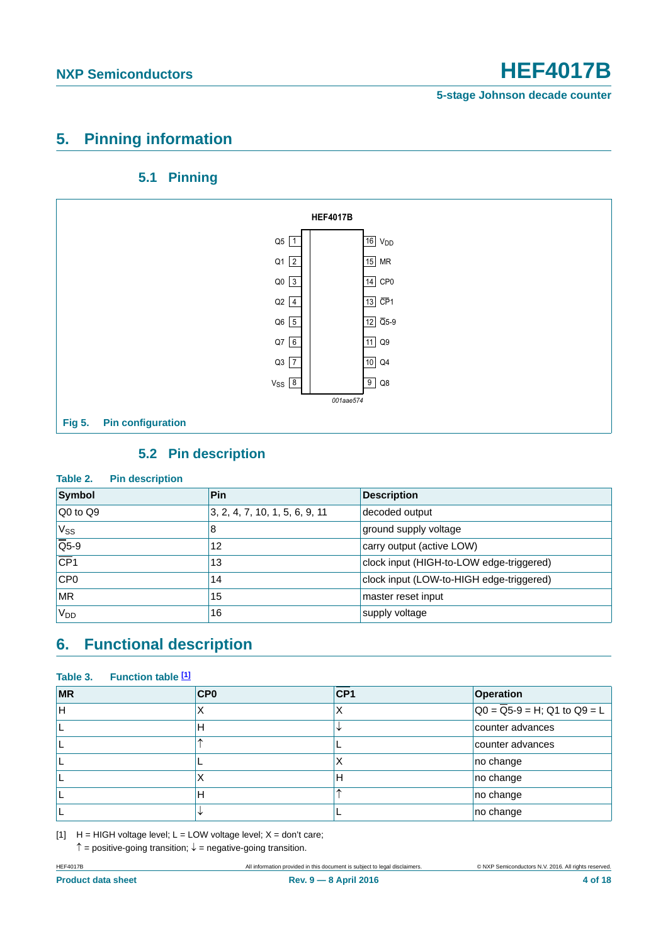## <span id="page-3-2"></span>**5. Pinning information**

## **5.1 Pinning**

<span id="page-3-3"></span>

## **5.2 Pin description**

### <span id="page-3-4"></span>**Table 2. Pin description**

| Symbol                                | <b>Pin</b>                                   | <b>Description</b>                       |
|---------------------------------------|----------------------------------------------|------------------------------------------|
| Q0 to Q9                              | $\vert 3, 2, 4, 7, 10, 1, 5, 6, 9, 11 \vert$ | decoded output                           |
| V <sub>ss</sub>                       | 8                                            | ground supply voltage                    |
| $\overline{\overline{\mathsf{Q}}$ 5-9 | 12                                           | carry output (active LOW)                |
| $\overline{CP1}$                      | 13                                           | clock input (HIGH-to-LOW edge-triggered) |
| CP <sub>0</sub>                       | 14                                           | clock input (LOW-to-HIGH edge-triggered) |
| <b>MR</b>                             | 15                                           | master reset input                       |
| V <sub>DD</sub>                       | 16                                           | supply voltage                           |

## <span id="page-3-5"></span>**6. Functional description**

### <span id="page-3-0"></span>**Table 3. Function table [\[1\]](#page-3-1)**

| <b>MR</b> | CP <sub>0</sub> | CP <sub>1</sub> | <b>Operation</b>                                         |
|-----------|-----------------|-----------------|----------------------------------------------------------|
| ΈH        |                 | ⋏               | $\overline{Q0} = \overline{Q}5 - 9 = H$ ; Q1 to $Q9 = L$ |
|           | н               |                 | counter advances                                         |
|           |                 |                 | counter advances                                         |
|           |                 | ∧               | no change                                                |
|           |                 | Н               | no change                                                |
|           | н               | ́               | no change                                                |
|           |                 |                 | no change                                                |

<span id="page-3-1"></span>[1]  $H = HIGH$  voltage level;  $L = LOW$  voltage level;  $X = don't$  care;

 $\uparrow$  = positive-going transition;  $\downarrow$  = negative-going transition.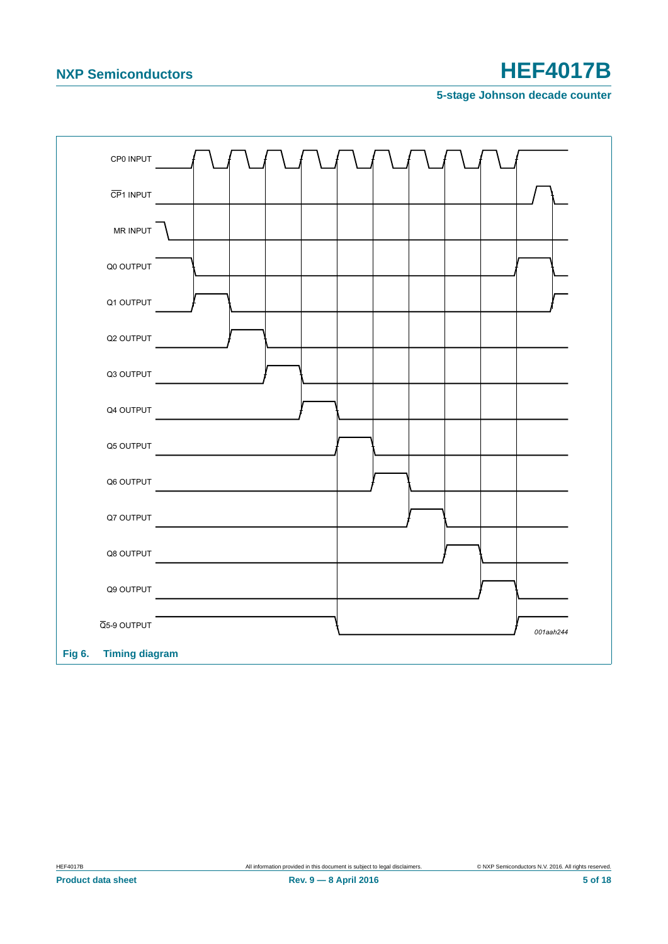**5-stage Johnson decade counter**

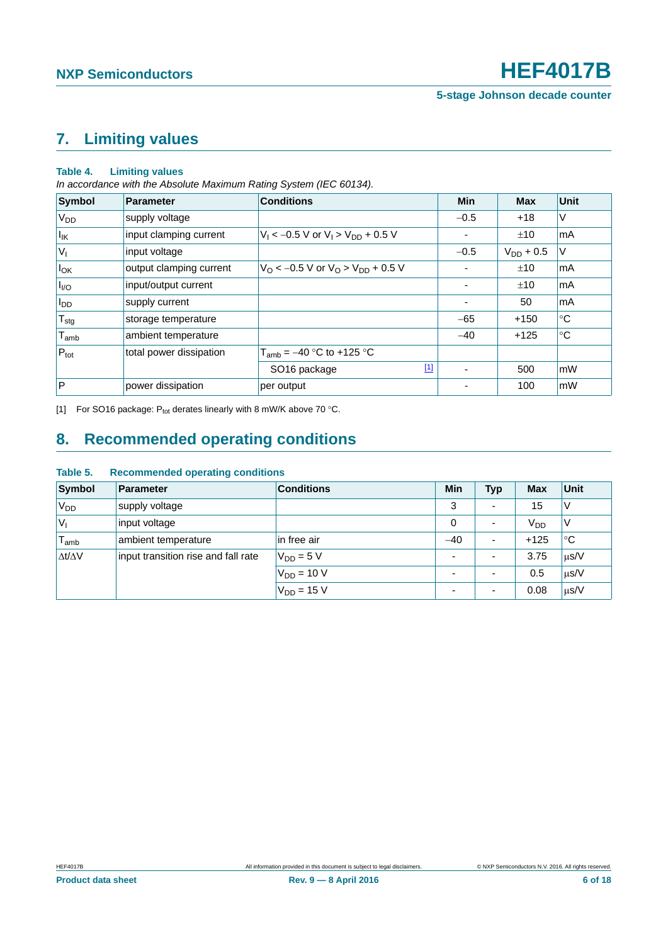## <span id="page-5-1"></span>**7. Limiting values**

### **Table 4. Limiting values**

*In accordance with the Absolute Maximum Rating System (IEC 60134).*

| <b>Symbol</b>                | Parameter               | <b>Conditions</b>                                          | <b>Min</b> | <b>Max</b>     | Unit        |
|------------------------------|-------------------------|------------------------------------------------------------|------------|----------------|-------------|
| V <sub>DD</sub>              | supply voltage          |                                                            | $-0.5$     | $+18$          | ٧           |
| $I_{\mathsf{IK}}$            | input clamping current  | $V_1 < -0.5$ V or $V_1 > V_{DD} + 0.5$ V                   |            | ±10            | mA          |
| $ V_1 $                      | input voltage           |                                                            | $-0.5$     | $V_{DD}$ + 0.5 | V           |
| $I_{OK}$                     | output clamping current | $V_{\rm O}$ < -0.5 V or $V_{\rm O}$ > $V_{\rm DD}$ + 0.5 V |            | ±10            | mA          |
| $I_{\text{UO}}$              | input/output current    |                                                            |            | ±10            | mA          |
| <b>I</b> <sub>DD</sub>       | supply current          |                                                            |            | 50             | mA          |
| $T_{\text{stg}}$             | storage temperature     |                                                            | $-65$      | $+150$         | °C          |
| ${\mathsf T}_{\textsf{amb}}$ | ambient temperature     |                                                            | $-40$      | $+125$         | $^{\circ}C$ |
| $P_{\text{tot}}$             | total power dissipation | $T_{amb} = -40$ °C to +125 °C                              |            |                |             |
|                              |                         | $[1]$<br>SO <sub>16</sub> package                          |            | 500            | mW          |
| $\mathsf{P}$                 | power dissipation       | per output                                                 |            | 100            | mW          |

<span id="page-5-0"></span>[1] For SO16 package:  $P_{tot}$  derates linearly with 8 mW/K above 70 °C.

## <span id="page-5-2"></span>**8. Recommended operating conditions**

| Symbol              | Parameter                           | <b>Conditions</b> | Min                      | <b>Typ</b> | <b>Max</b> | Unit      |
|---------------------|-------------------------------------|-------------------|--------------------------|------------|------------|-----------|
| 'V <sub>DD</sub>    | supply voltage                      |                   | 3                        |            | 15         | V         |
| $ V_1$              | input voltage                       |                   | $\Omega$                 |            | $V_{DD}$   | V         |
| $T_{\mathsf{amb}}$  | ambient temperature                 | in free air       | $-40$                    |            | $+125$     | ∣°C       |
| $\Delta t/\Delta V$ | input transition rise and fall rate | $V_{DD} = 5 V$    | $\overline{\phantom{0}}$ |            | 3.75       | $\mu$ s/V |
|                     |                                     | $V_{DD} = 10 V$   | $\overline{\phantom{0}}$ |            | 0.5        | $\mu$ s/V |
|                     |                                     | $V_{DD} = 15 V$   | $\overline{\phantom{0}}$ |            | 0.08       | $\mu$ s/V |

### **Table 5. Recommended operating conditions**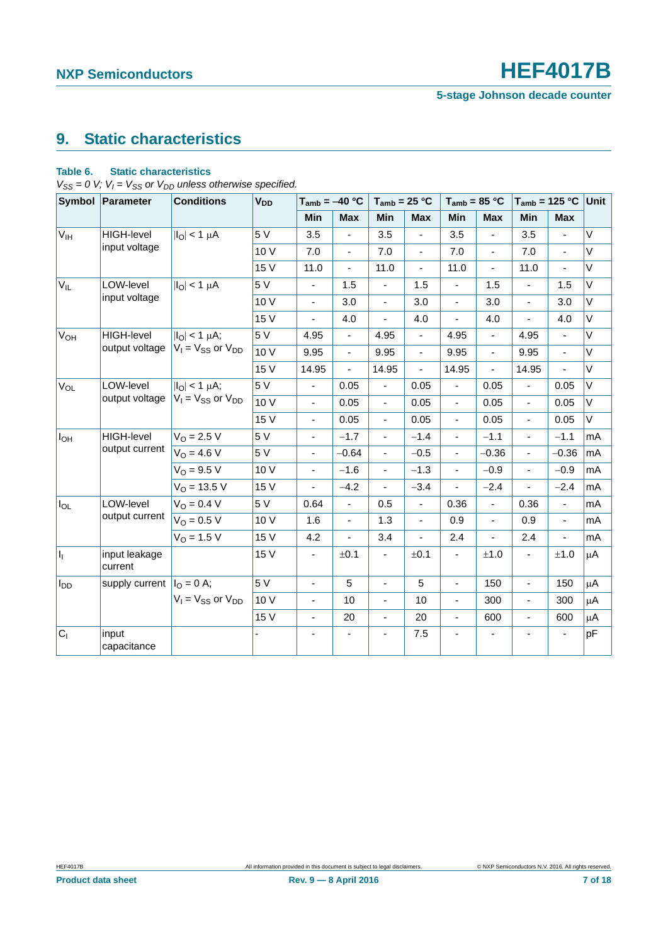**5-stage Johnson decade counter**

## <span id="page-6-0"></span>**9. Static characteristics**

### **Table 6. Static characteristics**

 $V_{SS} = 0$  V;  $V_I = V_{SS}$  or  $V_{DD}$  unless otherwise specified.

|                       | Symbol Parameter           | <b>Conditions</b>             | V <sub>DD</sub> | $T_{amb} = -40 °C$           |                          | $T_{amb}$ = 25 °C        |                          | $T_{amb}$ = 85 °C        |                          |                          | $T_{amb}$ = 125 °C Unit |         |
|-----------------------|----------------------------|-------------------------------|-----------------|------------------------------|--------------------------|--------------------------|--------------------------|--------------------------|--------------------------|--------------------------|-------------------------|---------|
|                       |                            |                               |                 | <b>Min</b>                   | <b>Max</b>               | <b>Min</b>               | <b>Max</b>               | <b>Min</b>               | <b>Max</b>               | Min                      | <b>Max</b>              |         |
| V <sub>IH</sub>       | <b>HIGH-level</b>          | $ I_O  < 1 \mu A$             | 5 V             | 3.5                          | $\blacksquare$           | 3.5                      | $\blacksquare$           | 3.5                      | $\overline{\phantom{a}}$ | 3.5                      | ÷,                      | V       |
|                       | input voltage              |                               | 10 V            | 7.0                          | $\overline{\phantom{a}}$ | 7.0                      | ٠                        | 7.0                      | $\blacksquare$           | 7.0                      | ä,                      | $\vee$  |
|                       |                            |                               | 15 V            | 11.0                         | ä,                       | 11.0                     | ÷,                       | 11.0                     | $\blacksquare$           | 11.0                     | ÷,                      | $\vee$  |
| $V_{IL}$              | LOW-level                  | $ I_{\text{O}} $ < 1 µA       | 5 V             | $\blacksquare$               | 1.5                      | $\blacksquare$           | 1.5                      | $\blacksquare$           | 1.5                      | $\blacksquare$           | 1.5                     | V       |
|                       | input voltage              |                               | 10 V            | $\qquad \qquad \blacksquare$ | 3.0                      | $\blacksquare$           | 3.0                      | ÷,                       | 3.0                      | $\frac{1}{2}$            | 3.0                     | V       |
|                       |                            |                               | 15 V            |                              | 4.0                      | $\overline{\phantom{a}}$ | 4.0                      |                          | 4.0                      |                          | 4.0                     | V       |
| <b>V<sub>OH</sub></b> | <b>HIGH-level</b>          | $ I_{\text{O}} $ < 1 $\mu$ A; | 5 V             | 4.95                         | $\blacksquare$           | 4.95                     | ÷,                       | 4.95                     | $\blacksquare$           | 4.95                     | $\overline{a}$          | $\vee$  |
|                       | output voltage             | $V_I = V_{SS}$ or $V_{DD}$    | 10 V            | 9.95                         | $\blacksquare$           | 9.95                     | $\blacksquare$           | 9.95                     | $\overline{\phantom{a}}$ | 9.95                     | ÷,                      | V       |
|                       |                            |                               | 15 V            | 14.95                        |                          | 14.95                    | ٠                        | 14.95                    |                          | 14.95                    |                         | $\vee$  |
| $V_{OL}$              | LOW-level                  | $ I_O  < 1 \mu A$ ;           | 5V              | ÷,                           | 0.05                     | $\blacksquare$           | 0.05                     | $\blacksquare$           | 0.05                     | $\overline{a}$           | 0.05                    | $\vee$  |
|                       | output voltage             | $V_1 = V_{SS}$ or $V_{DD}$    | 10V             | $\qquad \qquad \blacksquare$ | 0.05                     | $\blacksquare$           | 0.05                     | $\blacksquare$           | 0.05                     | $\frac{1}{2}$            | 0.05                    | V       |
|                       |                            |                               | 15 V            | $\qquad \qquad \blacksquare$ | 0.05                     | $\blacksquare$           | 0.05                     | $\blacksquare$           | 0.05                     | ÷,                       | 0.05                    | V       |
| $I_{OH}$              | HIGH-level                 | $V_0 = 2.5 V$                 | 5 V             | ٠                            | $-1.7$                   | $\frac{1}{2}$            | $-1.4$                   | $\overline{\phantom{0}}$ | $-1.1$                   | $\overline{\phantom{0}}$ | $-1.1$                  | mA      |
|                       | output current             | $V_0 = 4.6 V$                 | 5V              | $\blacksquare$               | $-0.64$                  | ä,                       | $-0.5$                   | $\overline{\phantom{0}}$ | $-0.36$                  | $\overline{a}$           | $-0.36$                 | mA      |
|                       |                            | $V_{O} = 9.5 V$               | 10 V            | $\qquad \qquad \blacksquare$ | $-1.6$                   | $\blacksquare$           | $-1.3$                   | $\blacksquare$           | $-0.9$                   | $\blacksquare$           | $-0.9$                  | mA      |
|                       |                            | $V_O = 13.5 V$                | 15 V            |                              | $-4.2$                   | $\blacksquare$           | $-3.4$                   |                          | $-2.4$                   |                          | $-2.4$                  | mA      |
| $I_{OL}$              | LOW-level                  | $V_O = 0.4 V$                 | 5 V             | 0.64                         | L.                       | 0.5                      | ÷,                       | 0.36                     | $\blacksquare$           | 0.36                     | ä,                      | mA      |
|                       | output current             | $V_O = 0.5 V$                 | 10 V            | 1.6                          | $\blacksquare$           | 1.3                      | $\blacksquare$           | 0.9                      | $\blacksquare$           | 0.9                      | $\blacksquare$          | mA      |
|                       |                            | $V_{O} = 1.5 V$               | 15 V            | 4.2                          | $\overline{a}$           | 3.4                      | $\overline{\phantom{0}}$ | 2.4                      |                          | 2.4                      | ÷,                      | mA      |
| h.                    | input leakage<br>current   |                               | 15 V            |                              | ±0.1                     | $\overline{\phantom{a}}$ | ±0.1                     |                          | ±1.0                     |                          | ±1.0                    | $\mu$ A |
| $I_{DD}$              | supply current $IO = 0$ A; |                               | 5 V             | $\blacksquare$               | 5                        | ÷,                       | 5                        | ÷.                       | 150                      | $\overline{\phantom{a}}$ | 150                     | $\mu$ A |
|                       |                            | $V_1 = V_{SS}$ or $V_{DD}$    | 10 V            | $\qquad \qquad \blacksquare$ | 10                       | $\blacksquare$           | 10                       | ÷,                       | 300                      | $\frac{1}{2}$            | 300                     | μA      |
|                       |                            |                               | 15 V            | $\overline{\phantom{0}}$     | 20                       | $\overline{\phantom{a}}$ | 20                       |                          | 600                      | $\frac{1}{2}$            | 600                     | μA      |
| $C_1$                 | input<br>capacitance       |                               |                 |                              |                          | $\blacksquare$           | 7.5                      |                          |                          |                          |                         | pF      |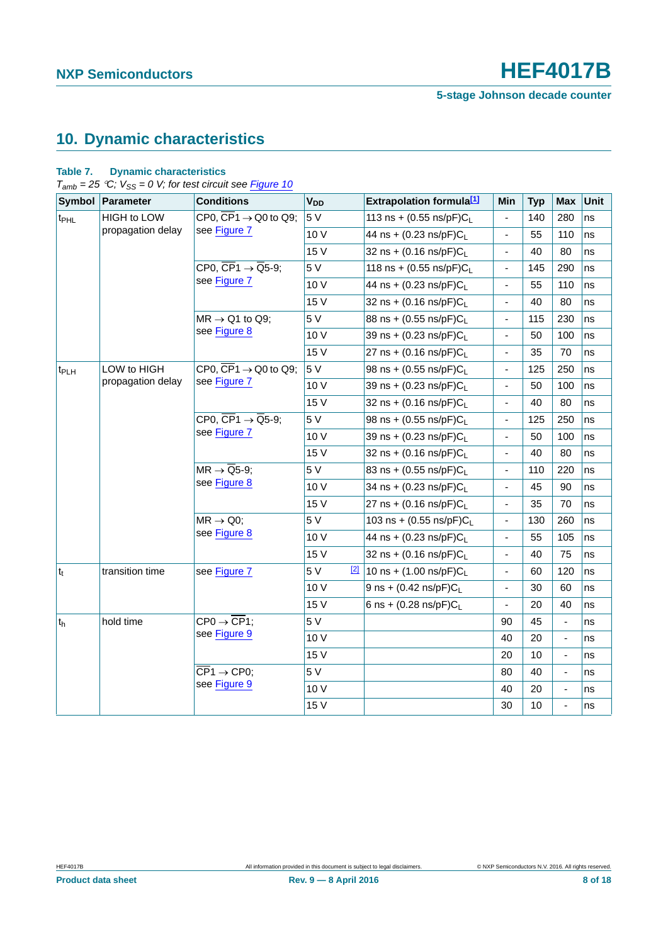**5-stage Johnson decade counter**

## <span id="page-7-0"></span>**10. Dynamic characteristics**

### **Table 7. Dynamic characteristics**

 $T_{amb} = 25 \degree C$ ;  $V_{SS} = 0$  V; for test circuit see **Figure 10** 

|                  | Symbol Parameter  | <b>Conditions</b>                                                   | <b>V<sub>DD</sub></b> | <b>Extrapolation formula</b> [1]     | Min            | <b>Typ</b> | <b>Max</b>                   | Unit |
|------------------|-------------------|---------------------------------------------------------------------|-----------------------|--------------------------------------|----------------|------------|------------------------------|------|
| t <sub>PHL</sub> | HIGH to LOW       | CP0, $\overline{CP1}$ $\rightarrow$ Q0 to Q9;                       | 5 V                   | 113 ns + $(0.55 \text{ ns/pF})C_{L}$ |                | 140        | 280                          | ns   |
|                  | propagation delay | see Figure 7                                                        | 10V                   | 44 ns + $(0.23 \text{ ns/pF})C_{L}$  | ÷,             | 55         | 110                          | ns   |
|                  |                   |                                                                     | 15 V                  | $32$ ns + (0.16 ns/pF)C              | $\blacksquare$ | 40         | 80                           | ns   |
|                  |                   | CP0, $\overline{CP1} \rightarrow \overline{Q5} - 9$ ;               | 5V                    | 118 ns + $(0.55 \text{ ns/pF})C_{L}$ | $\blacksquare$ | 145        | 290                          | ns   |
|                  |                   | see Figure 7                                                        | 10V                   | 44 ns + (0.23 ns/pF)C <sub>L</sub>   | ÷              | 55         | 110                          | ns   |
|                  |                   |                                                                     | 15 V                  | $32$ ns + (0.16 ns/pF)C              | ÷,             | 40         | 80                           | ns   |
|                  |                   | $MR \rightarrow Q1$ to Q9;                                          | 5 V                   | 88 ns + (0.55 ns/pF)CL               |                | 115        | 230                          | ns   |
|                  |                   | see Figure 8                                                        | 10V                   | 39 ns + (0.23 ns/pF)C <sub>L</sub>   | ÷,             | 50         | 100                          | ns   |
|                  |                   |                                                                     | 15 V                  | 27 ns + $(0.16 \text{ ns/pF})C_L$    | ÷,             | 35         | 70                           | ns   |
| t <sub>PLH</sub> | LOW to HIGH       | CP0, $\overline{\text{CP}}1 \rightarrow Q0$ to Q9;                  | 5 V                   | 98 ns + $(0.55 \text{ ns/pF})C_{L}$  |                | 125        | 250                          | ns   |
|                  | propagation delay | see Figure 7                                                        | 10V                   | 39 ns + (0.23 ns/pF)CL               | ÷,             | 50         | 100                          | ns   |
|                  |                   |                                                                     | 15 V                  | 32 ns + $(0.16 \text{ ns/pF})C_{L}$  |                | 40         | 80                           | ns   |
|                  |                   | CP0, $\overline{CP}1 \rightarrow \overline{Q}5-9$ ;<br>see Figure 7 | 5 V                   | 98 ns + $(0.55 \text{ ns/pF})C_{L}$  | Ĭ.             | 125        | 250                          | ns   |
|                  |                   |                                                                     | 10V                   | 39 ns + (0.23 ns/pF)CL               |                | 50         | 100                          | ns   |
|                  |                   |                                                                     | 15 V                  | 32 ns + $(0.16 \text{ ns/pF})C_{L}$  | ÷,             | 40         | 80                           | ns   |
|                  |                   | $MR \rightarrow \overline{Q}5-9;$<br>see Figure 8                   | 5 V                   | 83 ns + (0.55 ns/pF)CL               | $\blacksquare$ | 110        | 220                          | ns   |
|                  |                   |                                                                     | 10V                   | 34 ns + (0.23 ns/pF)CL               |                | 45         | 90                           | ns   |
|                  |                   |                                                                     | 15 V                  | 27 ns + $(0.16 \text{ ns/pF})C_{L}$  |                | 35         | 70                           | ns   |
|                  |                   | $MR \rightarrow Q0;$                                                | 5 V                   | 103 ns + $(0.55 \text{ ns/pF})C_{L}$ |                | 130        | 260                          | ns   |
|                  |                   | see Figure 8                                                        | 10V                   | 44 ns + $(0.23 \text{ ns/pF})C_{L}$  | ÷,             | 55         | 105                          | ns   |
|                  |                   |                                                                     | 15 V                  | 32 ns + $(0.16 \text{ ns/pF})C_{L}$  | ÷,             | 40         | 75                           | ns   |
| $t_t$            | transition time   | see Figure 7                                                        | 5 V<br>$\boxed{2}$    | 10 ns + $(1.00 \text{ ns/pF})C_{L}$  | $\blacksquare$ | 60         | 120                          | ns   |
|                  |                   |                                                                     | 10V                   | 9 ns + $(0.42 \text{ ns/pF})C_{L}$   | ÷,             | 30         | 60                           | ns   |
|                  |                   |                                                                     | 15 V                  | 6 ns + $(0.28 \text{ ns/pF})C_L$     |                | 20         | 40                           | ns   |
| $t_h$            | hold time         | $CP0 \rightarrow \overline{CP1}$ :                                  | 5 V                   |                                      | 90             | 45         | ÷,                           | ns   |
|                  |                   | see Figure 9                                                        | 10V                   |                                      | 40             | 20         | ÷,                           | ns   |
|                  |                   |                                                                     | 15 V                  |                                      | 20             | 10         | $\qquad \qquad \blacksquare$ | ns   |
|                  |                   | $\overline{\text{CP}}1 \rightarrow \text{CP0}$                      | 5 V                   |                                      | 80             | 40         | $\overline{a}$               | ns   |
|                  |                   | see Figure 9                                                        | 10V                   |                                      | 40             | 20         | ÷,                           | ns   |
|                  |                   |                                                                     | 15 V                  |                                      | 30             | 10         | ÷,                           | ns   |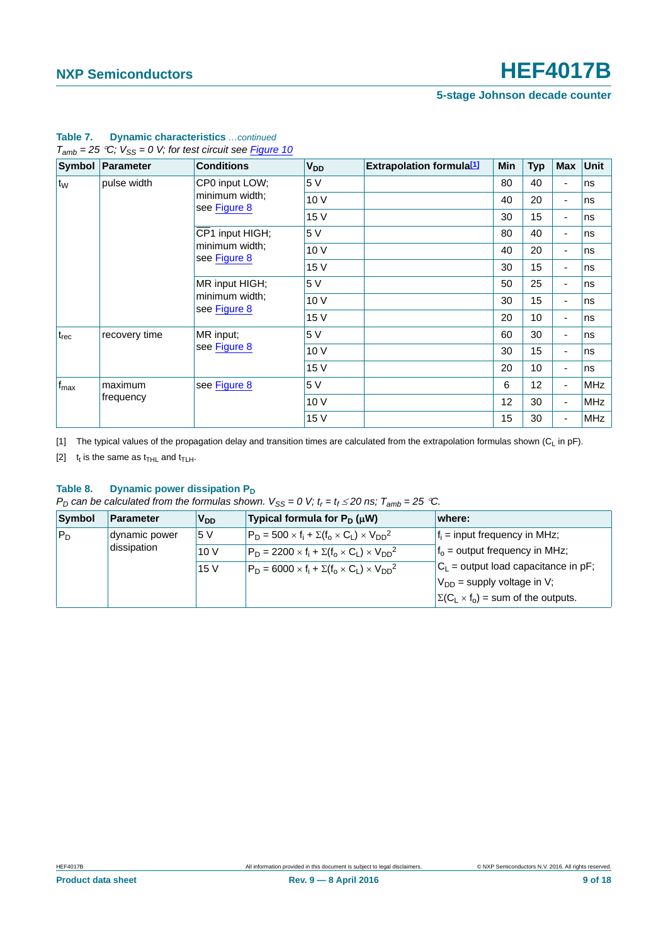**5-stage Johnson decade counter**

|                  | Symbol Parameter | <b>Conditions</b>                                | <b>V<sub>DD</sub></b> | <b>Extrapolation formula[1]</b> | Min | <b>Typ</b> | <b>Max</b>               | Unit       |
|------------------|------------------|--------------------------------------------------|-----------------------|---------------------------------|-----|------------|--------------------------|------------|
| $t_{W}$          | pulse width      | CP0 input LOW;                                   | 5 V                   |                                 | 80  | 40         | $\overline{\phantom{0}}$ | ns         |
|                  |                  | minimum width;<br>see Figure 8                   | 10 V                  |                                 | 40  | 20         | $\overline{\phantom{a}}$ | ns         |
|                  |                  |                                                  | 15 V                  |                                 | 30  | 15         | $\blacksquare$           | ns         |
|                  |                  | CP1 input HIGH;                                  | 5 V                   |                                 | 80  | 40         | $\overline{\phantom{a}}$ | ns         |
|                  |                  | minimum width;                                   | 10V                   |                                 | 40  | 20         | $\blacksquare$           | ns         |
|                  |                  | see Figure 8                                     | 15 V                  |                                 | 30  | 15         | $\blacksquare$           | ns         |
|                  |                  | MR input HIGH;<br>minimum width;<br>see Figure 8 | 5 V                   |                                 | 50  | 25         | $\blacksquare$           | ns         |
|                  |                  |                                                  | 10 V                  |                                 | 30  | 15         | $\overline{\phantom{a}}$ | ns         |
|                  |                  |                                                  | 15 V                  |                                 | 20  | 10         |                          | ns         |
| $t_{rec}$        | recovery time    | MR input;<br>see Figure 8                        | 5 V                   |                                 | 60  | 30         | $\blacksquare$           | ns         |
|                  |                  |                                                  | 10 V                  |                                 | 30  | 15         | $\overline{\phantom{a}}$ | ns         |
|                  |                  |                                                  | 15 V                  |                                 | 20  | 10         | $\blacksquare$           | ns         |
| $f_{\text{max}}$ | maximum          | see Figure 8                                     | 5 V                   |                                 | 6   | 12         | $\blacksquare$           | <b>MHz</b> |
|                  | frequency        |                                                  | 10V                   |                                 | 12  | 30         | $\overline{\phantom{a}}$ | <b>MHz</b> |
|                  |                  |                                                  | 15 V                  |                                 | 15  | 30         | ٠                        | <b>MHz</b> |

### **Table 7. Dynamic characteristics** *…continued*  $T_{amb} = 25 °C$ ;  $V_{SS} = 0 V$ ; for test circuit see **Figure 10**

<span id="page-8-0"></span>[1] The typical values of the propagation delay and transition times are calculated from the extrapolation formulas shown (C<sub>L</sub> in pF).

<span id="page-8-1"></span>[2]  $t_t$  is the same as  $t_{THL}$  and  $t_{TLH}$ .

### Table 8. Dynamic power dissipation P<sub>D</sub>

*P<sub>D</sub>* can be calculated from the formulas shown.  $V_{SS} = 0$  V;  $t_r = t_f \le 20$  ns;  $T_{amb} = 25$  °C.

| Symbol  | <b>Parameter</b> | <b>V<sub>DD</sub></b> | Typical formula for $P_D(\mu W)$                                 | where:                                         |
|---------|------------------|-----------------------|------------------------------------------------------------------|------------------------------------------------|
| $ P_D $ | dynamic power    |                       | $P_D = 500 \times f_i + \Sigma(f_o \times C_L) \times V_{DD}^2$  | $f_i$ = input frequency in MHz;                |
|         | dissipation      | 10V                   | $P_D = 2200 \times f_i + \Sigma(f_0 \times C_1) \times V_{DD}^2$ | $fo$ = output frequency in MHz;                |
|         |                  | 15 <sub>V</sub>       | $P_D = 6000 \times f_i + \Sigma(f_0 \times C_1) \times V_{DD}^2$ | $C_1$ = output load capacitance in pF;         |
|         |                  |                       |                                                                  | $V_{DD}$ = supply voltage in V;                |
|         |                  |                       |                                                                  | $\Sigma(C_L \times f_0)$ = sum of the outputs. |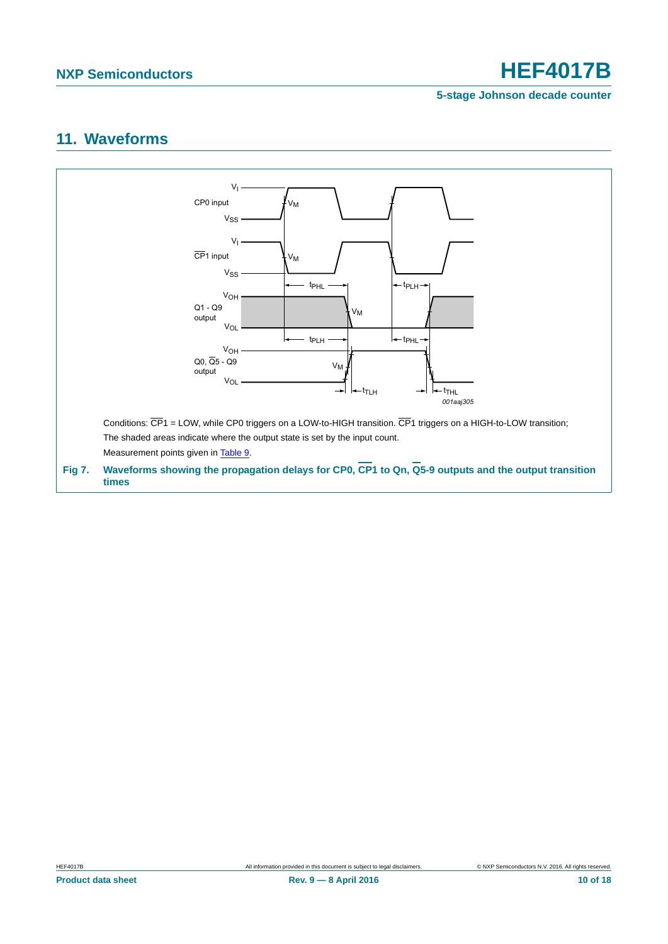**5-stage Johnson decade counter**

## <span id="page-9-1"></span>**11. Waveforms**

<span id="page-9-0"></span>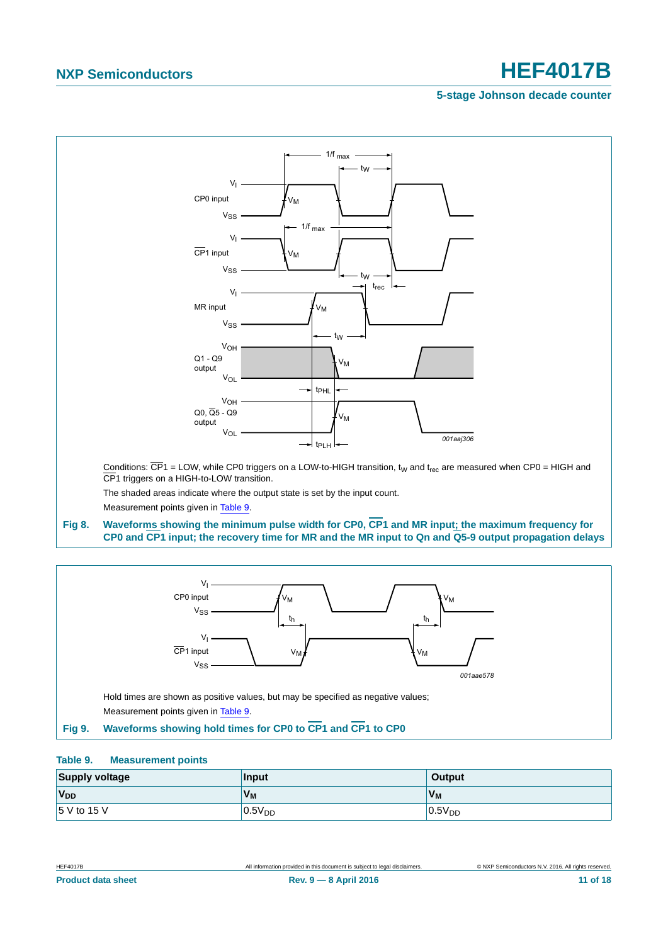### **5-stage Johnson decade counter**



### <span id="page-10-0"></span>**Fig 8. Waveforms showing the minimum pulse width for CP0, CP1 and MR input; the maximum frequency for CP0 and CP1 input; the recovery time for MR and the MR input to Qn and Q5-9 output propagation delays**



### <span id="page-10-2"></span><span id="page-10-1"></span>**Table 9. Measurement points**

| <b>Supply voltage</b> | <b>Input</b> | Output             |
|-----------------------|--------------|--------------------|
| <b>V<sub>DD</sub></b> | Vм           | $V_M$              |
| 5 V to 15 V           | $0.5V_{DD}$  | 0.5V <sub>DD</sub> |

**Product data sheet** 11 of 18 **Rev. 9 — 8 April 2016** 11 **120 16** 18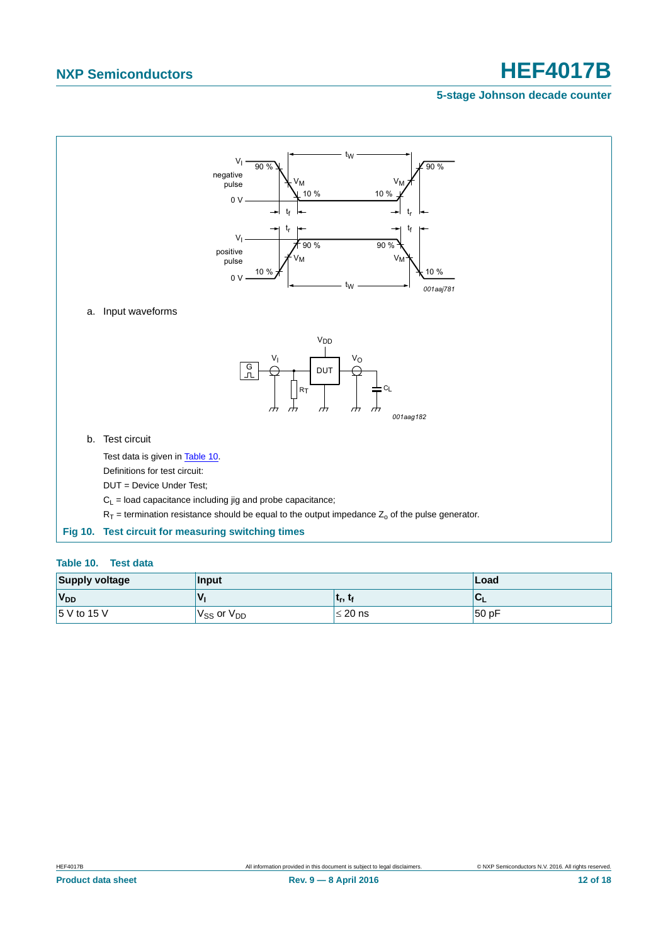## **5-stage Johnson decade counter**



### <span id="page-11-1"></span><span id="page-11-0"></span>**Table 10. Test data**

| <b>Supply voltage</b>                             | Input                              | ∣Load        |        |
|---------------------------------------------------|------------------------------------|--------------|--------|
| V <sub>DD</sub><br><b>V</b><br>$ t_r, t_f $<br>ືີ |                                    |              |        |
| $15$ V to 15 V                                    | V <sub>SS</sub> or V <sub>DD</sub> | $\leq$ 20 ns | 150 pF |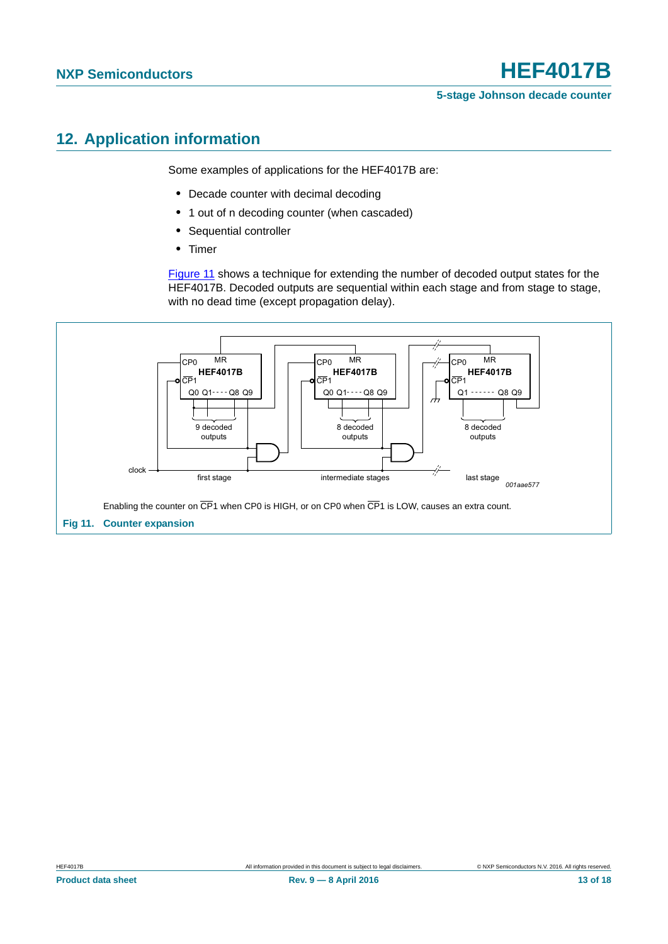## <span id="page-12-1"></span>**12. Application information**

Some examples of applications for the HEF4017B are:

- **•** Decade counter with decimal decoding
- **•** 1 out of n decoding counter (when cascaded)
- **•** Sequential controller
- **•** Timer

[Figure 11](#page-12-0) shows a technique for extending the number of decoded output states for the HEF4017B. Decoded outputs are sequential within each stage and from stage to stage, with no dead time (except propagation delay).

<span id="page-12-0"></span>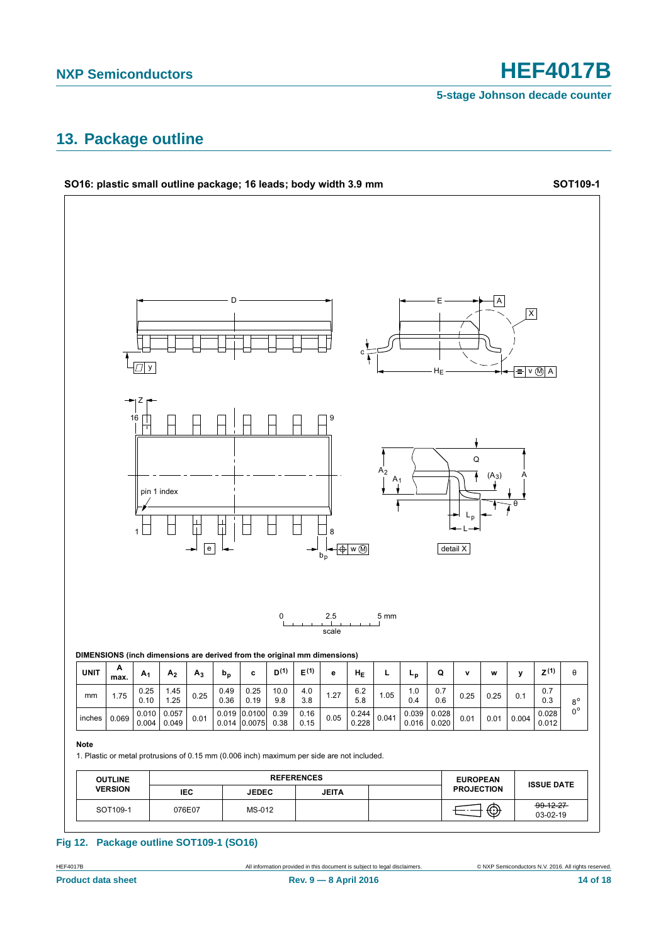**5-stage Johnson decade counter**

## <span id="page-13-0"></span>**13. Package outline**



### **Fig 12. Package outline SOT109-1 (SO16)**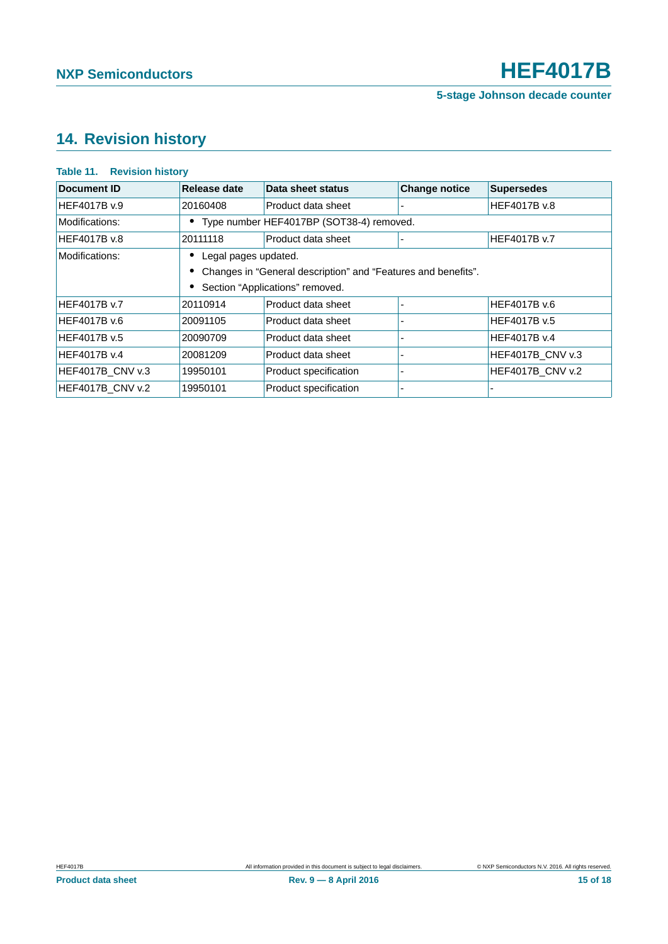## <span id="page-14-0"></span>**14. Revision history**

### **Table 11. Revision history**

| Document ID      | Release date         | Data sheet status                                               | <b>Change notice</b> | <b>Supersedes</b>       |
|------------------|----------------------|-----------------------------------------------------------------|----------------------|-------------------------|
| HEF4017B v.9     | 20160408             | Product data sheet                                              |                      | HEF4017B v.8            |
| Modifications:   |                      | • Type number HEF4017BP (SOT38-4) removed.                      |                      |                         |
| HEF4017B v.8     | 20111118             | Product data sheet                                              |                      | <b>HEF4017B v.7</b>     |
| Modifications:   | Legal pages updated. |                                                                 |                      |                         |
|                  |                      | • Changes in "General description" and "Features and benefits". |                      |                         |
|                  |                      | Section "Applications" removed.                                 |                      |                         |
| HEF4017B v.7     | 20110914             | Product data sheet                                              |                      | HEF4017B v.6            |
| HEF4017B v.6     | 20091105             | Product data sheet                                              |                      | HEF4017B v.5            |
| HEF4017B v.5     | 20090709             | Product data sheet                                              |                      | HEF4017B v.4            |
| HEF4017B v.4     | 20081209             | Product data sheet                                              |                      | <b>HEF4017B CNV v.3</b> |
| HEF4017B CNV v.3 | 19950101             | Product specification                                           |                      | <b>HEF4017B CNV v.2</b> |
| HEF4017B CNV v.2 | 19950101             | Product specification                                           |                      |                         |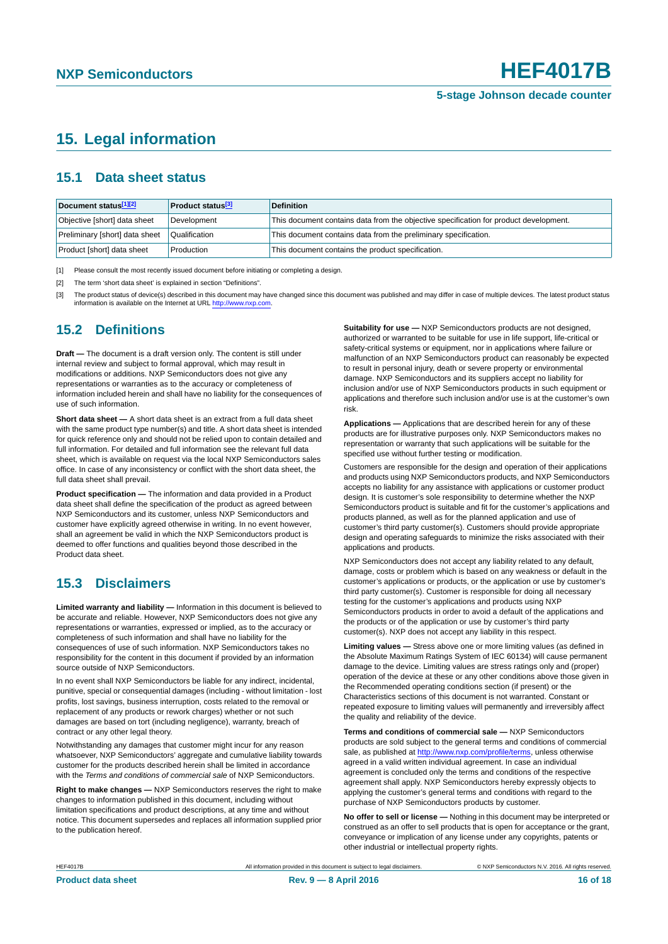## <span id="page-15-3"></span>**15. Legal information**

## <span id="page-15-4"></span>**15.1 Data sheet status**

| Document status[1][2]          | <b>Product status</b> <sup>[3]</sup> | <b>Definition</b>                                                                     |
|--------------------------------|--------------------------------------|---------------------------------------------------------------------------------------|
| Objective [short] data sheet   | Development                          | This document contains data from the objective specification for product development. |
| Preliminary [short] data sheet | Qualification                        | This document contains data from the preliminary specification.                       |
| Product [short] data sheet     | Production                           | This document contains the product specification.                                     |

<span id="page-15-0"></span>[1] Please consult the most recently issued document before initiating or completing a design.

<span id="page-15-1"></span>[2] The term 'short data sheet' is explained in section "Definitions".

<span id="page-15-2"></span>[3] The product status of device(s) described in this document may have changed since this document was published and may differ in case of multiple devices. The latest product status<br>information is available on the Intern

### <span id="page-15-5"></span>**15.2 Definitions**

**Draft —** The document is a draft version only. The content is still under internal review and subject to formal approval, which may result in modifications or additions. NXP Semiconductors does not give any representations or warranties as to the accuracy or completeness of information included herein and shall have no liability for the consequences of use of such information.

**Short data sheet —** A short data sheet is an extract from a full data sheet with the same product type number(s) and title. A short data sheet is intended for quick reference only and should not be relied upon to contain detailed and full information. For detailed and full information see the relevant full data sheet, which is available on request via the local NXP Semiconductors sales office. In case of any inconsistency or conflict with the short data sheet, the full data sheet shall prevail.

**Product specification —** The information and data provided in a Product data sheet shall define the specification of the product as agreed between NXP Semiconductors and its customer, unless NXP Semiconductors and customer have explicitly agreed otherwise in writing. In no event however, shall an agreement be valid in which the NXP Semiconductors product is deemed to offer functions and qualities beyond those described in the Product data sheet.

## <span id="page-15-6"></span>**15.3 Disclaimers**

**Limited warranty and liability —** Information in this document is believed to be accurate and reliable. However, NXP Semiconductors does not give any representations or warranties, expressed or implied, as to the accuracy or completeness of such information and shall have no liability for the consequences of use of such information. NXP Semiconductors takes no responsibility for the content in this document if provided by an information source outside of NXP Semiconductors.

In no event shall NXP Semiconductors be liable for any indirect, incidental, punitive, special or consequential damages (including - without limitation - lost profits, lost savings, business interruption, costs related to the removal or replacement of any products or rework charges) whether or not such damages are based on tort (including negligence), warranty, breach of contract or any other legal theory.

Notwithstanding any damages that customer might incur for any reason whatsoever, NXP Semiconductors' aggregate and cumulative liability towards customer for the products described herein shall be limited in accordance with the *Terms and conditions of commercial sale* of NXP Semiconductors.

**Right to make changes —** NXP Semiconductors reserves the right to make changes to information published in this document, including without limitation specifications and product descriptions, at any time and without notice. This document supersedes and replaces all information supplied prior to the publication hereof.

**Suitability for use —** NXP Semiconductors products are not designed, authorized or warranted to be suitable for use in life support, life-critical or safety-critical systems or equipment, nor in applications where failure or malfunction of an NXP Semiconductors product can reasonably be expected to result in personal injury, death or severe property or environmental damage. NXP Semiconductors and its suppliers accept no liability for inclusion and/or use of NXP Semiconductors products in such equipment or applications and therefore such inclusion and/or use is at the customer's own risk.

**Applications —** Applications that are described herein for any of these products are for illustrative purposes only. NXP Semiconductors makes no representation or warranty that such applications will be suitable for the specified use without further testing or modification.

Customers are responsible for the design and operation of their applications and products using NXP Semiconductors products, and NXP Semiconductors accepts no liability for any assistance with applications or customer product design. It is customer's sole responsibility to determine whether the NXP Semiconductors product is suitable and fit for the customer's applications and products planned, as well as for the planned application and use of customer's third party customer(s). Customers should provide appropriate design and operating safeguards to minimize the risks associated with their applications and products.

NXP Semiconductors does not accept any liability related to any default, damage, costs or problem which is based on any weakness or default in the customer's applications or products, or the application or use by customer's third party customer(s). Customer is responsible for doing all necessary testing for the customer's applications and products using NXP Semiconductors products in order to avoid a default of the applications and the products or of the application or use by customer's third party customer(s). NXP does not accept any liability in this respect.

**Limiting values —** Stress above one or more limiting values (as defined in the Absolute Maximum Ratings System of IEC 60134) will cause permanent damage to the device. Limiting values are stress ratings only and (proper) operation of the device at these or any other conditions above those given in the Recommended operating conditions section (if present) or the Characteristics sections of this document is not warranted. Constant or repeated exposure to limiting values will permanently and irreversibly affect the quality and reliability of the device.

**Terms and conditions of commercial sale —** NXP Semiconductors products are sold subject to the general terms and conditions of commercial sale, as published at<http://www.nxp.com/profile/terms>, unless otherwise agreed in a valid written individual agreement. In case an individual agreement is concluded only the terms and conditions of the respective agreement shall apply. NXP Semiconductors hereby expressly objects to applying the customer's general terms and conditions with regard to the purchase of NXP Semiconductors products by customer.

**No offer to sell or license —** Nothing in this document may be interpreted or construed as an offer to sell products that is open for acceptance or the grant, conveyance or implication of any license under any copyrights, patents or other industrial or intellectual property rights.

HEF4017B All information provided in this document is subject to legal disclaimers. © NXP Semiconductors N.V. 2016. All rights reserved.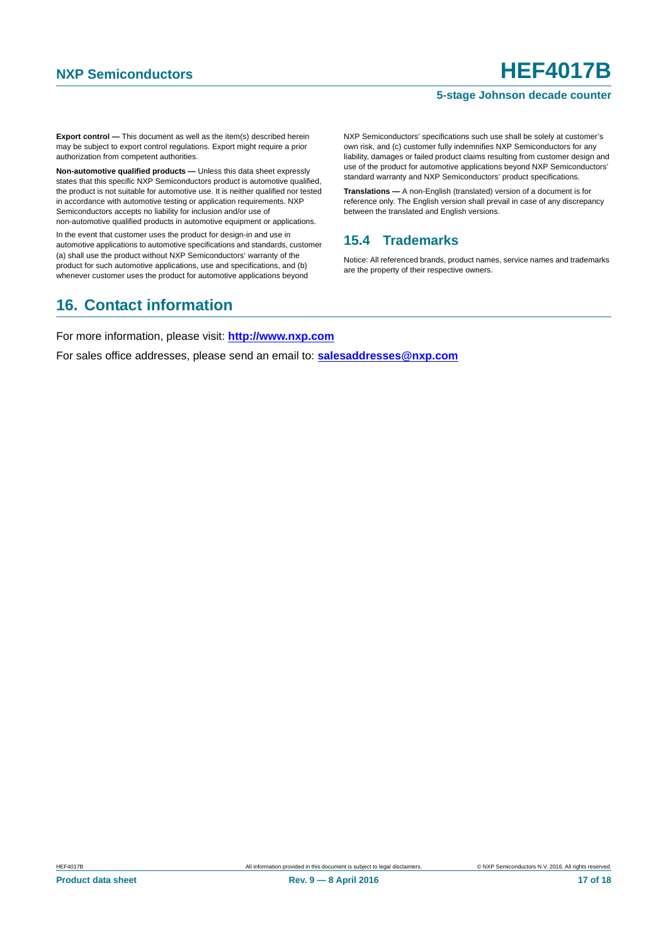### **5-stage Johnson decade counter**

**Export control —** This document as well as the item(s) described herein may be subject to export control regulations. Export might require a prior authorization from competent authorities.

**Non-automotive qualified products —** Unless this data sheet expressly states that this specific NXP Semiconductors product is automotive qualified, the product is not suitable for automotive use. It is neither qualified nor tested in accordance with automotive testing or application requirements. NXP Semiconductors accepts no liability for inclusion and/or use of non-automotive qualified products in automotive equipment or applications.

In the event that customer uses the product for design-in and use in automotive applications to automotive specifications and standards, customer (a) shall use the product without NXP Semiconductors' warranty of the product for such automotive applications, use and specifications, and (b) whenever customer uses the product for automotive applications beyond

NXP Semiconductors' specifications such use shall be solely at customer's own risk, and (c) customer fully indemnifies NXP Semiconductors for any liability, damages or failed product claims resulting from customer design and use of the product for automotive applications beyond NXP Semiconductors' standard warranty and NXP Semiconductors' product specifications.

**Translations —** A non-English (translated) version of a document is for reference only. The English version shall prevail in case of any discrepancy between the translated and English versions.

## <span id="page-16-0"></span>**15.4 Trademarks**

Notice: All referenced brands, product names, service names and trademarks are the property of their respective owners.

## <span id="page-16-1"></span>**16. Contact information**

For more information, please visit: **http://www.nxp.com**

For sales office addresses, please send an email to: **salesaddresses@nxp.com**